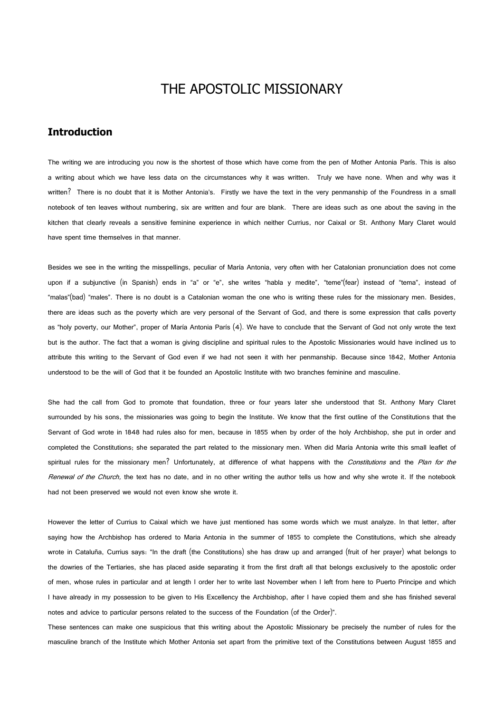# THE APOSTOLIC MISSIONARY

### **Introduction**

The writing we are introducing you now is the shortest of those which have come from the pen of Mother Antonia París. This is also a writing about which we have less data on the circumstances why it was written. Truly we have none. When and why was it written? There is no doubt that it is Mother Antonia's. Firstly we have the text in the very penmanship of the Foundress in a small notebook of ten leaves without numbering, six are written and four are blank. There are ideas such as one about the saving in the kitchen that clearly reveals a sensitive feminine experience in which neither Currius, nor Caixal or St. Anthony Mary Claret would have spent time themselves in that manner.

Besides we see in the writing the misspellings, peculiar of María Antonia, very often with her Catalonian pronunciation does not come upon if a subjunctive (in Spanish) ends in "a" or "e", she writes "habla y medite", "teme"(fear) instead of "tema", instead of "malas"(bad) "males". There is no doubt is a Catalonian woman the one who is writing these rules for the missionary men. Besides, there are ideas such as the poverty which are very personal of the Servant of God, and there is some expression that calls poverty as "holy poverty, our Mother", proper of María Antonia París (4). We have to conclude that the Servant of God not only wrote the text but is the author. The fact that a woman is giving discipline and spiritual rules to the Apostolic Missionaries would have inclined us to attribute this writing to the Servant of God even if we had not seen it with her penmanship. Because since 1842, Mother Antonia understood to be the will of God that it be founded an Apostolic Institute with two branches feminine and masculine.

She had the call from God to promote that foundation, three or four years later she understood that St. Anthony Mary Claret surrounded by his sons, the missionaries was going to begin the Institute. We know that the first outline of the Constitutions that the Servant of God wrote in 1848 had rules also for men, because in 1855 when by order of the holy Archbishop, she put in order and completed the Constitutions; she separated the part related to the missionary men. When did María Antonia write this small leaflet of spiritual rules for the missionary men? Unfortunately, at difference of what happens with the Constitutions and the Plan for the Renewal of the Church, the text has no date, and in no other writing the author tells us how and why she wrote it. If the notebook had not been preserved we would not even know she wrote it.

However the letter of Currius to Caixal which we have just mentioned has some words which we must analyze. In that letter, after saying how the Archbishop has ordered to Maria Antonia in the summer of 1855 to complete the Constitutions, which she already wrote in Cataluña, Currius says: "In the draft (the Constitutions) she has draw up and arranged (fruit of her prayer) what belongs to the dowries of the Tertiaries, she has placed aside separating it from the first draft all that belongs exclusively to the apostolic order of men, whose rules in particular and at length I order her to write last November when I left from here to Puerto Principe and which I have already in my possession to be given to His Excellency the Archbishop, after I have copied them and she has finished several notes and advice to particular persons related to the success of the Foundation (of the Order)".

These sentences can make one suspicious that this writing about the Apostolic Missionary be precisely the number of rules for the masculine branch of the Institute which Mother Antonia set apart from the primitive text of the Constitutions between August 1855 and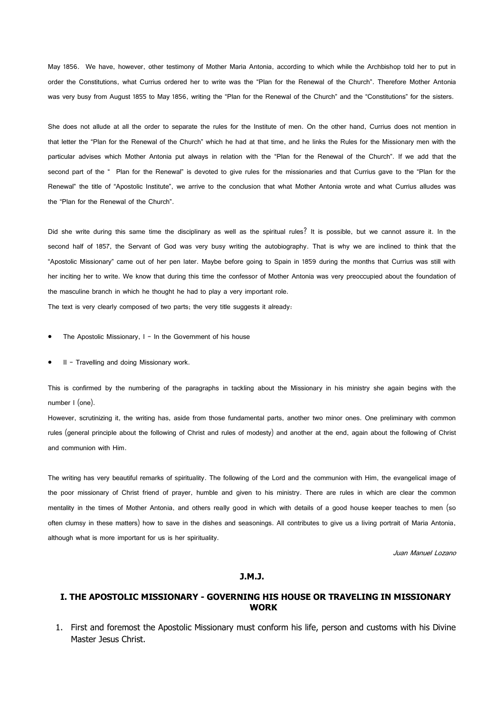May 1856. We have, however, other testimony of Mother Maria Antonia, according to which while the Archbishop told her to put in order the Constitutions, what Currius ordered her to write was the "Plan for the Renewal of the Church". Therefore Mother Antonia was very busy from August 1855 to May 1856, writing the "Plan for the Renewal of the Church" and the "Constitutions" for the sisters.

She does not allude at all the order to separate the rules for the Institute of men. On the other hand, Currius does not mention in that letter the "Plan for the Renewal of the Church" which he had at that time, and he links the Rules for the Missionary men with the particular advises which Mother Antonia put always in relation with the "Plan for the Renewal of the Church". If we add that the second part of the " Plan for the Renewal" is devoted to give rules for the missionaries and that Currius gave to the "Plan for the Renewal" the title of "Apostolic Institute", we arrive to the conclusion that what Mother Antonia wrote and what Currius alludes was the "Plan for the Renewal of the Church".

Did she write during this same time the disciplinary as well as the spiritual rules? It is possible, but we cannot assure it. In the second half of 1857, the Servant of God was very busy writing the autobiography. That is why we are inclined to think that the "Apostolic Missionary" came out of her pen later. Maybe before going to Spain in 1859 during the months that Currius was still with her inciting her to write. We know that during this time the confessor of Mother Antonia was very preoccupied about the foundation of the masculine branch in which he thought he had to play a very important role.

The text is very clearly composed of two parts; the very title suggests it already:

- The Apostolic Missionary, I In the Government of his house
- II Travelling and doing Missionary work.

This is confirmed by the numbering of the paragraphs in tackling about the Missionary in his ministry she again begins with the number I (one).

However, scrutinizing it, the writing has, aside from those fundamental parts, another two minor ones. One preliminary with common rules (general principle about the following of Christ and rules of modesty) and another at the end, again about the following of Christ and communion with Him.

The writing has very beautiful remarks of spirituality. The following of the Lord and the communion with Him, the evangelical image of the poor missionary of Christ friend of prayer, humble and given to his ministry. There are rules in which are clear the common mentality in the times of Mother Antonia, and others really good in which with details of a good house keeper teaches to men (so often clumsy in these matters) how to save in the dishes and seasonings. All contributes to give us a living portrait of Maria Antonia, although what is more important for us is her spirituality.

Juan Manuel Lozano

#### **J.M.J.**

#### **I. THE APOSTOLIC MISSIONARY - GOVERNING HIS HOUSE OR TRAVELING IN MISSIONARY WORK**

1. First and foremost the Apostolic Missionary must conform his life, person and customs with his Divine Master Jesus Christ.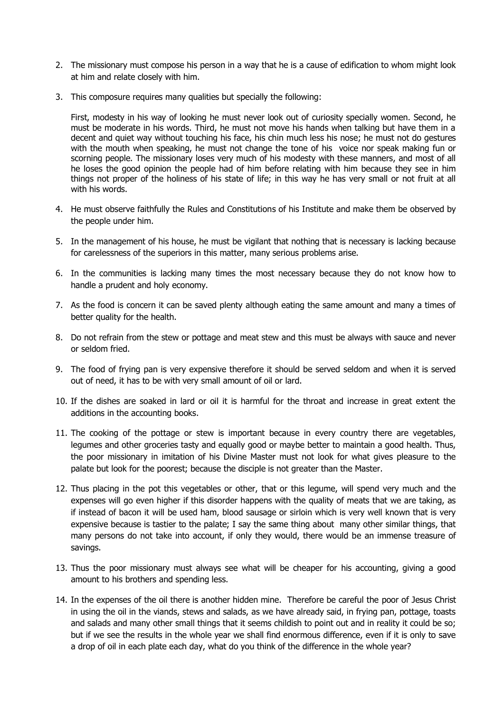- 2. The missionary must compose his person in a way that he is a cause of edification to whom might look at him and relate closely with him.
- 3. This composure requires many qualities but specially the following:

First, modesty in his way of looking he must never look out of curiosity specially women. Second, he must be moderate in his words. Third, he must not move his hands when talking but have them in a decent and quiet way without touching his face, his chin much less his nose; he must not do gestures with the mouth when speaking, he must not change the tone of his voice nor speak making fun or scorning people. The missionary loses very much of his modesty with these manners, and most of all he loses the good opinion the people had of him before relating with him because they see in him things not proper of the holiness of his state of life; in this way he has very small or not fruit at all with his words.

- 4. He must observe faithfully the Rules and Constitutions of his Institute and make them be observed by the people under him.
- 5. In the management of his house, he must be vigilant that nothing that is necessary is lacking because for carelessness of the superiors in this matter, many serious problems arise.
- 6. In the communities is lacking many times the most necessary because they do not know how to handle a prudent and holy economy.
- 7. As the food is concern it can be saved plenty although eating the same amount and many a times of better quality for the health.
- 8. Do not refrain from the stew or pottage and meat stew and this must be always with sauce and never or seldom fried.
- 9. The food of frying pan is very expensive therefore it should be served seldom and when it is served out of need, it has to be with very small amount of oil or lard.
- 10. If the dishes are soaked in lard or oil it is harmful for the throat and increase in great extent the additions in the accounting books.
- 11. The cooking of the pottage or stew is important because in every country there are vegetables, legumes and other groceries tasty and equally good or maybe better to maintain a good health. Thus, the poor missionary in imitation of his Divine Master must not look for what gives pleasure to the palate but look for the poorest; because the disciple is not greater than the Master.
- 12. Thus placing in the pot this vegetables or other, that or this legume, will spend very much and the expenses will go even higher if this disorder happens with the quality of meats that we are taking, as if instead of bacon it will be used ham, blood sausage or sirloin which is very well known that is very expensive because is tastier to the palate; I say the same thing about many other similar things, that many persons do not take into account, if only they would, there would be an immense treasure of savings.
- 13. Thus the poor missionary must always see what will be cheaper for his accounting, giving a good amount to his brothers and spending less.
- 14. In the expenses of the oil there is another hidden mine. Therefore be careful the poor of Jesus Christ in using the oil in the viands, stews and salads, as we have already said, in frying pan, pottage, toasts and salads and many other small things that it seems childish to point out and in reality it could be so; but if we see the results in the whole year we shall find enormous difference, even if it is only to save a drop of oil in each plate each day, what do you think of the difference in the whole year?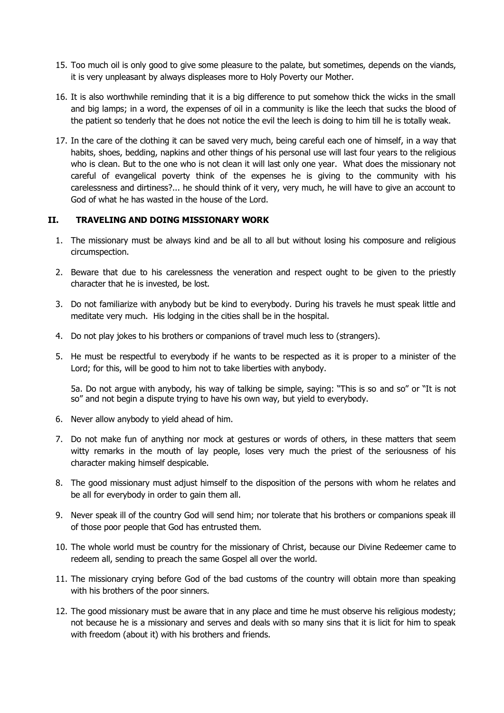- 15. Too much oil is only good to give some pleasure to the palate, but sometimes, depends on the viands, it is very unpleasant by always displeases more to Holy Poverty our Mother.
- 16. It is also worthwhile reminding that it is a big difference to put somehow thick the wicks in the small and big lamps; in a word, the expenses of oil in a community is like the leech that sucks the blood of the patient so tenderly that he does not notice the evil the leech is doing to him till he is totally weak.
- 17. In the care of the clothing it can be saved very much, being careful each one of himself, in a way that habits, shoes, bedding, napkins and other things of his personal use will last four years to the religious who is clean. But to the one who is not clean it will last only one year. What does the missionary not careful of evangelical poverty think of the expenses he is giving to the community with his carelessness and dirtiness?... he should think of it very, very much, he will have to give an account to God of what he has wasted in the house of the Lord.

## **II. TRAVELING AND DOING MISSIONARY WORK**

- 1. The missionary must be always kind and be all to all but without losing his composure and religious circumspection.
- 2. Beware that due to his carelessness the veneration and respect ought to be given to the priestly character that he is invested, be lost.
- 3. Do not familiarize with anybody but be kind to everybody. During his travels he must speak little and meditate very much. His lodging in the cities shall be in the hospital.
- 4. Do not play jokes to his brothers or companions of travel much less to (strangers).
- 5. He must be respectful to everybody if he wants to be respected as it is proper to a minister of the Lord; for this, will be good to him not to take liberties with anybody.

5a. Do not argue with anybody, his way of talking be simple, saying: "This is so and so" or "It is not so" and not begin a dispute trying to have his own way, but yield to everybody.

- 6. Never allow anybody to yield ahead of him.
- 7. Do not make fun of anything nor mock at gestures or words of others, in these matters that seem witty remarks in the mouth of lay people, loses very much the priest of the seriousness of his character making himself despicable.
- 8. The good missionary must adjust himself to the disposition of the persons with whom he relates and be all for everybody in order to gain them all.
- 9. Never speak ill of the country God will send him; nor tolerate that his brothers or companions speak ill of those poor people that God has entrusted them.
- 10. The whole world must be country for the missionary of Christ, because our Divine Redeemer came to redeem all, sending to preach the same Gospel all over the world.
- 11. The missionary crying before God of the bad customs of the country will obtain more than speaking with his brothers of the poor sinners.
- 12. The good missionary must be aware that in any place and time he must observe his religious modesty; not because he is a missionary and serves and deals with so many sins that it is licit for him to speak with freedom (about it) with his brothers and friends.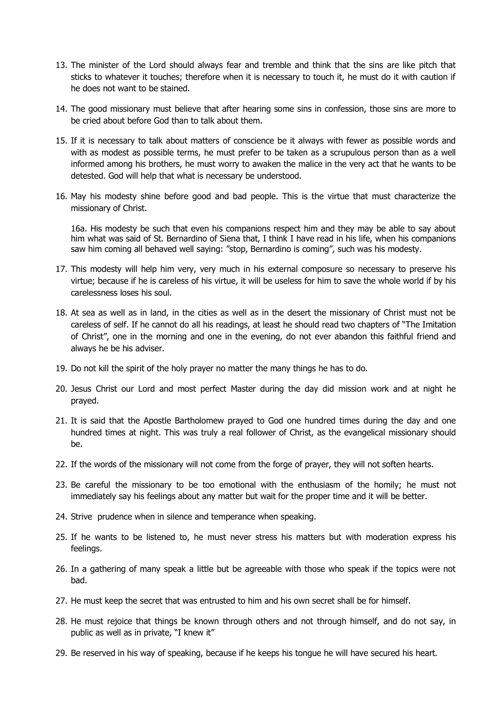- 13. The minister of the Lord should always fear and tremble and think that the sins are like pitch that sticks to whatever it touches; therefore when it is necessary to touch it, he must do it with caution if he does not want to be stained.
- 14. The good missionary must believe that after hearing some sins in confession, those sins are more to be cried about before God than to talk about them.
- 15. If it is necessary to talk about matters of conscience be it always with fewer as possible words and with as modest as possible terms, he must prefer to be taken as a scrupulous person than as a well informed among his brothers, he must worry to awaken the malice in the very act that he wants to be detested. God will help that what is necessary be understood.
- 16. May his modesty shine before good and bad people. This is the virtue that must characterize the missionary of Christ.

16a. His modesty be such that even his companions respect him and they may be able to say about him what was said of St. Bernardino of Siena that, I think I have read in his life, when his companions saw him coming all behaved well saying: "stop, Bernardino is coming", such was his modesty.

- 17. This modesty will help him very, very much in his external composure so necessary to preserve his virtue; because if he is careless of his virtue, it will be useless for him to save the whole world if by his carelessness loses his soul.
- 18. At sea as well as in land, in the cities as well as in the desert the missionary of Christ must not be careless of self. If he cannot do all his readings, at least he should read two chapters of "The Imitation of Christ", one in the morning and one in the evening, do not ever abandon this faithful friend and always he be his adviser.
- 19. Do not kill the spirit of the holy prayer no matter the many things he has to do.
- 20. Jesus Christ our Lord and most perfect Master during the day did mission work and at night he prayed.
- 21. It is said that the Apostle Bartholomew prayed to God one hundred times during the day and one hundred times at night. This was truly a real follower of Christ, as the evangelical missionary should be.
- 22. If the words of the missionary will not come from the forge of prayer, they will not soften hearts.
- 23. Be careful the missionary to be too emotional with the enthusiasm of the homily; he must not immediately say his feelings about any matter but wait for the proper time and it will be better.
- 24. Strive prudence when in silence and temperance when speaking.
- 25. If he wants to be listened to, he must never stress his matters but with moderation express his feelings.
- 26. In a gathering of many speak a little but be agreeable with those who speak if the topics were not bad.
- 27. He must keep the secret that was entrusted to him and his own secret shall be for himself.
- 28. He must rejoice that things be known through others and not through himself, and do not say, in public as well as in private, "I knew it"
- 29. Be reserved in his way of speaking, because if he keeps his tongue he will have secured his heart.